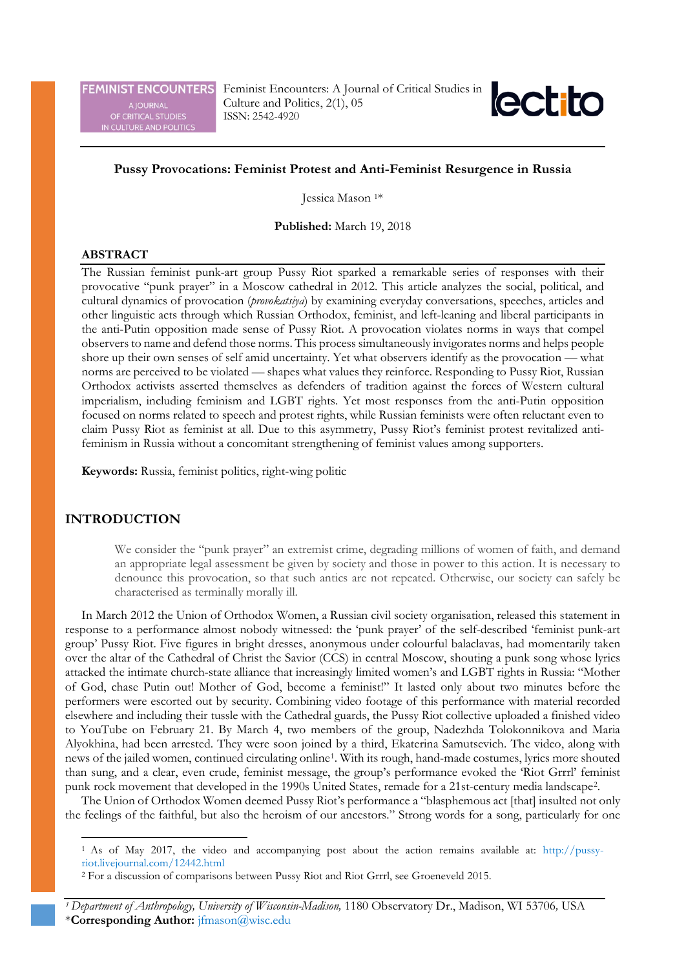**FEMINIST ENCOUNTERS** 

A JOURNAL<br>OF CRITICAL STUDIES<br>N CULTURE AND POLITICS

Feminist Encounters: A Journal of Critical Studies in Culture and Politics, 2(1), 05 ISSN: 2542-4920



## **Pussy Provocations: Feminist Protest and Anti-Feminist Resurgence in Russia**

Jessica Mason 1\*

**Published:** March 19, 2018

## **ABSTRACT**

The Russian feminist punk-art group Pussy Riot sparked a remarkable series of responses with their provocative "punk prayer" in a Moscow cathedral in 2012. This article analyzes the social, political, and cultural dynamics of provocation (*provokatsiya*) by examining everyday conversations, speeches, articles and other linguistic acts through which Russian Orthodox, feminist, and left-leaning and liberal participants in the anti-Putin opposition made sense of Pussy Riot. A provocation violates norms in ways that compel observers to name and defend those norms. This process simultaneously invigorates norms and helps people shore up their own senses of self amid uncertainty. Yet what observers identify as the provocation — what norms are perceived to be violated — shapes what values they reinforce. Responding to Pussy Riot, Russian Orthodox activists asserted themselves as defenders of tradition against the forces of Western cultural imperialism, including feminism and LGBT rights. Yet most responses from the anti-Putin opposition focused on norms related to speech and protest rights, while Russian feminists were often reluctant even to claim Pussy Riot as feminist at all. Due to this asymmetry, Pussy Riot's feminist protest revitalized antifeminism in Russia without a concomitant strengthening of feminist values among supporters.

**Keywords:** Russia, feminist politics, right-wing politic

## **INTRODUCTION**

We consider the "punk prayer" an extremist crime, degrading millions of women of faith, and demand an appropriate legal assessment be given by society and those in power to this action. It is necessary to denounce this provocation, so that such antics are not repeated. Otherwise, our society can safely be characterised as terminally morally ill.

In March 2012 the Union of Orthodox Women, a Russian civil society organisation, released this statement in response to a performance almost nobody witnessed: the 'punk prayer' of the self-described 'feminist punk-art group' Pussy Riot. Five figures in bright dresses, anonymous under colourful balaclavas, had momentarily taken over the altar of the Cathedral of Christ the Savior (CCS) in central Moscow, shouting a punk song whose lyrics attacked the intimate church-state alliance that increasingly limited women's and LGBT rights in Russia: "Mother of God, chase Putin out! Mother of God, become a feminist!" It lasted only about two minutes before the performers were escorted out by security. Combining video footage of this performance with material recorded elsewhere and including their tussle with the Cathedral guards, the Pussy Riot collective uploaded a finished video to YouTube on February 21. By March 4, two members of the group, Nadezhda Tolokonnikova and Maria Alyokhina, had been arrested. They were soon joined by a third, Ekaterina Samutsevich. The video, along with news of the jailed women, continued circulating online[1.](#page-0-0) With its rough, hand-made costumes, lyrics more shouted than sung, and a clear, even crude, feminist message, the group's performance evoked the 'Riot Grrrl' feminist punk rock movement that developed in the 1990s United States, remade for a 21st-century media landscape[2](#page-0-1).

The Union of Orthodox Women deemed Pussy Riot's performance a "blasphemous act [that] insulted not only the feelings of the faithful, but also the heroism of our ancestors." Strong words for a song, particularly for one

<span id="page-0-0"></span> <sup>1</sup> As of May 2017, the video and accompanying post about the action remains available at: [http://pussy](http://pussy-riot.livejournal.com/12442.html)[riot.livejournal.com/12442.html](http://pussy-riot.livejournal.com/12442.html)

<sup>2</sup> For a discussion of comparisons between Pussy Riot and Riot Grrrl, see Groeneveld 2015.

<span id="page-0-1"></span>*<sup>1</sup> Department of Anthropology, University of Wisconsin-Madison,* 1180 Observatory Dr., Madison, WI 53706*,* USA \***Corresponding Author:** [jfmason@wisc.edu](mailto:jfmason@wisc.edu)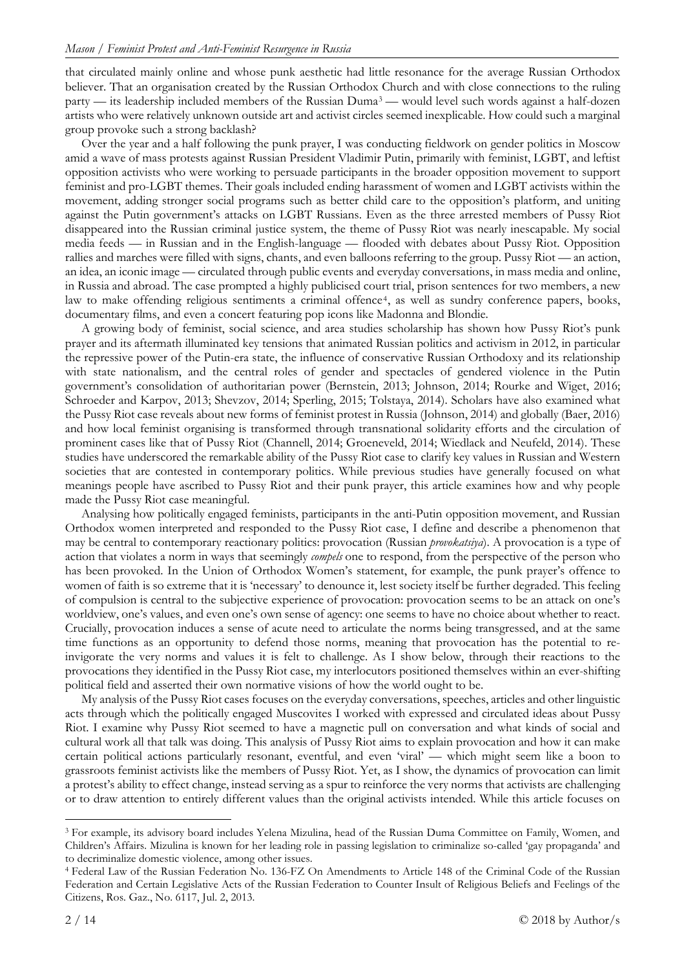that circulated mainly online and whose punk aesthetic had little resonance for the average Russian Orthodox believer. That an organisation created by the Russian Orthodox Church and with close connections to the ruling party — its leadership included members of the Russian Duma[3](#page-1-0) — would level such words against a half-dozen artists who were relatively unknown outside art and activist circles seemed inexplicable. How could such a marginal group provoke such a strong backlash?

Over the year and a half following the punk prayer, I was conducting fieldwork on gender politics in Moscow amid a wave of mass protests against Russian President Vladimir Putin, primarily with feminist, LGBT, and leftist opposition activists who were working to persuade participants in the broader opposition movement to support feminist and pro-LGBT themes. Their goals included ending harassment of women and LGBT activists within the movement, adding stronger social programs such as better child care to the opposition's platform, and uniting against the Putin government's attacks on LGBT Russians. Even as the three arrested members of Pussy Riot disappeared into the Russian criminal justice system, the theme of Pussy Riot was nearly inescapable. My social media feeds — in Russian and in the English-language — flooded with debates about Pussy Riot. Opposition rallies and marches were filled with signs, chants, and even balloons referring to the group. Pussy Riot — an action, an idea, an iconic image — circulated through public events and everyday conversations, in mass media and online, in Russia and abroad. The case prompted a highly publicised court trial, prison sentences for two members, a new law to make offending religious sentiments a criminal offence<sup>[4](#page-1-1)</sup>, as well as sundry conference papers, books, documentary films, and even a concert featuring pop icons like Madonna and Blondie.

A growing body of feminist, social science, and area studies scholarship has shown how Pussy Riot's punk prayer and its aftermath illuminated key tensions that animated Russian politics and activism in 2012, in particular the repressive power of the Putin-era state, the influence of conservative Russian Orthodoxy and its relationship with state nationalism, and the central roles of gender and spectacles of gendered violence in the Putin government's consolidation of authoritarian power (Bernstein, 2013; Johnson, 2014; Rourke and Wiget, 2016; Schroeder and Karpov, 2013; Shevzov, 2014; Sperling, 2015; Tolstaya, 2014). Scholars have also examined what the Pussy Riot case reveals about new forms of feminist protest in Russia (Johnson, 2014) and globally (Baer, 2016) and how local feminist organising is transformed through transnational solidarity efforts and the circulation of prominent cases like that of Pussy Riot (Channell, 2014; Groeneveld, 2014; Wiedlack and Neufeld, 2014). These studies have underscored the remarkable ability of the Pussy Riot case to clarify key values in Russian and Western societies that are contested in contemporary politics. While previous studies have generally focused on what meanings people have ascribed to Pussy Riot and their punk prayer, this article examines how and why people made the Pussy Riot case meaningful.

Analysing how politically engaged feminists, participants in the anti-Putin opposition movement, and Russian Orthodox women interpreted and responded to the Pussy Riot case, I define and describe a phenomenon that may be central to contemporary reactionary politics: provocation (Russian *provokatsiya*). A provocation is a type of action that violates a norm in ways that seemingly *compels* one to respond, from the perspective of the person who has been provoked. In the Union of Orthodox Women's statement, for example, the punk prayer's offence to women of faith is so extreme that it is 'necessary' to denounce it, lest society itself be further degraded. This feeling of compulsion is central to the subjective experience of provocation: provocation seems to be an attack on one's worldview, one's values, and even one's own sense of agency: one seems to have no choice about whether to react. Crucially, provocation induces a sense of acute need to articulate the norms being transgressed, and at the same time functions as an opportunity to defend those norms, meaning that provocation has the potential to reinvigorate the very norms and values it is felt to challenge. As I show below, through their reactions to the provocations they identified in the Pussy Riot case, my interlocutors positioned themselves within an ever-shifting political field and asserted their own normative visions of how the world ought to be.

My analysis of the Pussy Riot cases focuses on the everyday conversations, speeches, articles and other linguistic acts through which the politically engaged Muscovites I worked with expressed and circulated ideas about Pussy Riot. I examine why Pussy Riot seemed to have a magnetic pull on conversation and what kinds of social and cultural work all that talk was doing. This analysis of Pussy Riot aims to explain provocation and how it can make certain political actions particularly resonant, eventful, and even 'viral' — which might seem like a boon to grassroots feminist activists like the members of Pussy Riot. Yet, as I show, the dynamics of provocation can limit a protest's ability to effect change, instead serving as a spur to reinforce the very norms that activists are challenging or to draw attention to entirely different values than the original activists intended. While this article focuses on

<span id="page-1-0"></span> <sup>3</sup> For example, its advisory board includes Yelena Mizulina, head of the Russian Duma Committee on Family, Women, and Children's Affairs. Mizulina is known for her leading role in passing legislation to criminalize so-called 'gay propaganda' and to decriminalize domestic violence, among other issues.

<span id="page-1-1"></span><sup>4</sup> Federal Law of the Russian Federation No. 136-FZ On Amendments to Article 148 of the Criminal Code of the Russian Federation and Certain Legislative Acts of the Russian Federation to Counter Insult of Religious Beliefs and Feelings of the Citizens, Ros. Gaz., No. 6117, Jul. 2, 2013.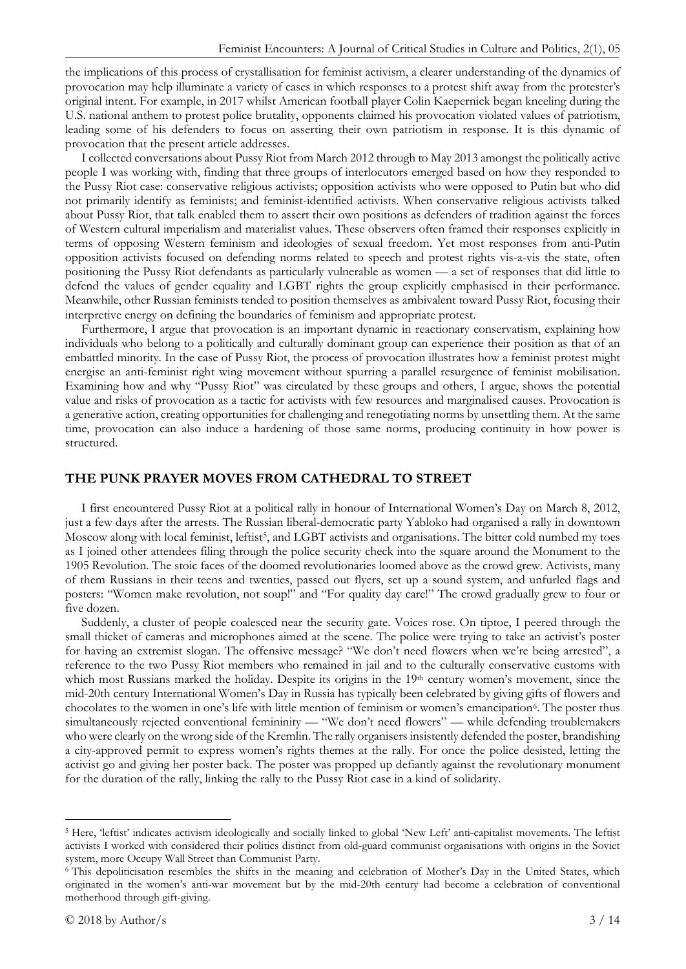the implications of this process of crystallisation for feminist activism, a clearer understanding of the dynamics of provocation may help illuminate a variety of cases in which responses to a protest shift away from the protester's original intent. For example, in 2017 whilst American football player Colin Kaepernick began kneeling during the U.S. national anthem to protest police brutality, opponents claimed his provocation violated values of patriotism, leading some of his defenders to focus on asserting their own patriotism in response. It is this dynamic of provocation that the present article addresses.

I collected conversations about Pussy Riot from March 2012 through to May 2013 amongst the politically active people I was working with, finding that three groups of interlocutors emerged based on how they responded to the Pussy Riot case: conservative religious activists; opposition activists who were opposed to Putin but who did not primarily identify as feminists; and feminist-identified activists. When conservative religious activists talked about Pussy Riot, that talk enabled them to assert their own positions as defenders of tradition against the forces of Western cultural imperialism and materialist values. These observers often framed their responses explicitly in terms of opposing Western feminism and ideologies of sexual freedom. Yet most responses from anti-Putin opposition activists focused on defending norms related to speech and protest rights vis-a-vis the state, often positioning the Pussy Riot defendants as particularly vulnerable as women — a set of responses that did little to defend the values of gender equality and LGBT rights the group explicitly emphasised in their performance. Meanwhile, other Russian feminists tended to position themselves as ambivalent toward Pussy Riot, focusing their interpretive energy on defining the boundaries of feminism and appropriate protest.

Furthermore, I argue that provocation is an important dynamic in reactionary conservatism, explaining how individuals who belong to a politically and culturally dominant group can experience their position as that of an embattled minority. In the case of Pussy Riot, the process of provocation illustrates how a feminist protest might energise an anti-feminist right wing movement without spurring a parallel resurgence of feminist mobilisation. Examining how and why "Pussy Riot" was circulated by these groups and others, I argue, shows the potential value and risks of provocation as a tactic for activists with few resources and marginalised causes. Provocation is a generative action, creating opportunities for challenging and renegotiating norms by unsettling them. At the same time, provocation can also induce a hardening of those same norms, producing continuity in how power is structured.

## **THE PUNK PRAYER MOVES FROM CATHEDRAL TO STREET**

I first encountered Pussy Riot at a political rally in honour of International Women's Day on March 8, 2012, just a few days after the arrests. The Russian liberal-democratic party Yabloko had organised a rally in downtown Moscow along with local feminist, leftist<sup>5</sup>, and LGBT activists and organisations. The bitter cold numbed my toes as I joined other attendees filing through the police security check into the square around the Monument to the 1905 Revolution. The stoic faces of the doomed revolutionaries loomed above as the crowd grew. Activists, many of them Russians in their teens and twenties, passed out flyers, set up a sound system, and unfurled flags and posters: "Women make revolution, not soup!" and "For quality day care!" The crowd gradually grew to four or five dozen.

Suddenly, a cluster of people coalesced near the security gate. Voices rose. On tiptoe, I peered through the small thicket of cameras and microphones aimed at the scene. The police were trying to take an activist's poster for having an extremist slogan. The offensive message? "We don't need flowers when we're being arrested", a reference to the two Pussy Riot members who remained in jail and to the culturally conservative customs with which most Russians marked the holiday. Despite its origins in the 19<sup>th</sup> century women's movement, since the mid-20th century International Women's Day in Russia has typically been celebrated by giving gifts of flowers and chocolates to the women in one's life with little mention of feminism or women's emancipation<sup>[6](#page-2-1)</sup>. The poster thus simultaneously rejected conventional femininity — "We don't need flowers" — while defending troublemakers who were clearly on the wrong side of the Kremlin. The rally organisers insistently defended the poster, brandishing a city-approved permit to express women's rights themes at the rally. For once the police desisted, letting the activist go and giving her poster back. The poster was propped up defiantly against the revolutionary monument for the duration of the rally, linking the rally to the Pussy Riot case in a kind of solidarity.

<span id="page-2-0"></span><sup>&</sup>lt;sup>5</sup> Here, 'leftist' indicates activism ideologically and socially linked to global 'New Left' anti-capitalist movements. The leftist activists I worked with considered their politics distinct from old-guard communist organisations with origins in the Soviet system, more Occupy Wall Street than Communist Party.

<span id="page-2-1"></span><sup>6</sup> This depoliticisation resembles the shifts in the meaning and celebration of Mother's Day in the United States, which originated in the women's anti-war movement but by the mid-20th century had become a celebration of conventional motherhood through gift-giving.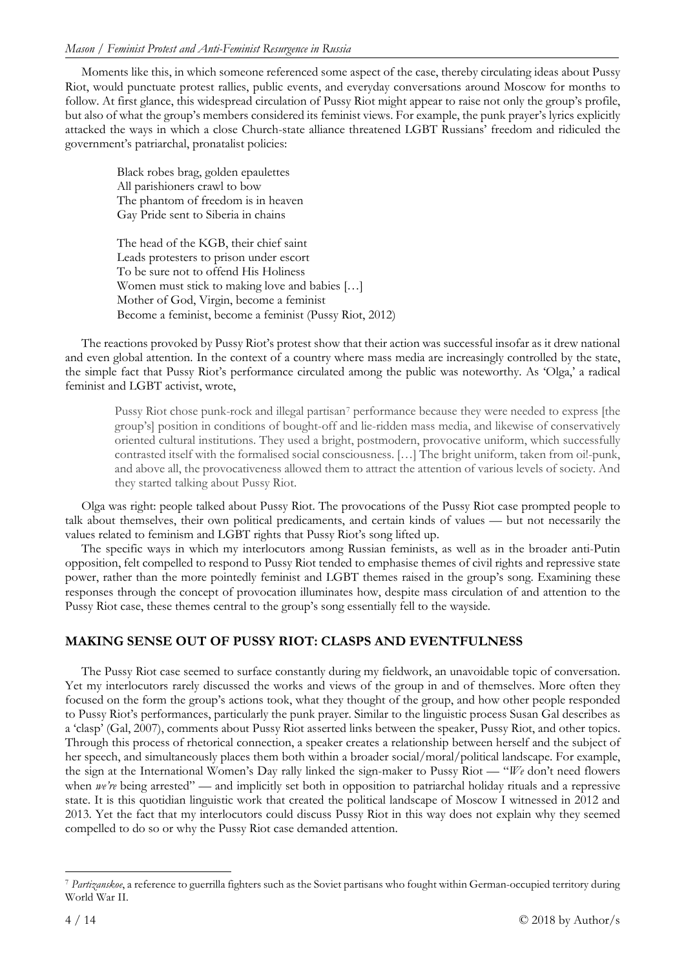Moments like this, in which someone referenced some aspect of the case, thereby circulating ideas about Pussy Riot, would punctuate protest rallies, public events, and everyday conversations around Moscow for months to follow. At first glance, this widespread circulation of Pussy Riot might appear to raise not only the group's profile, but also of what the group's members considered its feminist views. For example, the punk prayer's lyrics explicitly attacked the ways in which a close Church-state alliance threatened LGBT Russians' freedom and ridiculed the government's patriarchal, pronatalist policies:

Black robes brag, golden epaulettes All parishioners crawl to bow The phantom of freedom is in heaven Gay Pride sent to Siberia in chains

The head of the KGB, their chief saint Leads protesters to prison under escort To be sure not to offend His Holiness Women must stick to making love and babies […] Mother of God, Virgin, become a feminist Become a feminist, become a feminist (Pussy Riot, 2012)

The reactions provoked by Pussy Riot's protest show that their action was successful insofar as it drew national and even global attention. In the context of a country where mass media are increasingly controlled by the state, the simple fact that Pussy Riot's performance circulated among the public was noteworthy. As 'Olga,' a radical feminist and LGBT activist, wrote,

Pussy Riot chose punk-rock and illegal partisan<sup>[7](#page-3-0)</sup> performance because they were needed to express [the group's] position in conditions of bought-off and lie-ridden mass media, and likewise of conservatively oriented cultural institutions. They used a bright, postmodern, provocative uniform, which successfully contrasted itself with the formalised social consciousness. […] The bright uniform, taken from oi!-punk, and above all, the provocativeness allowed them to attract the attention of various levels of society. And they started talking about Pussy Riot.

Olga was right: people talked about Pussy Riot. The provocations of the Pussy Riot case prompted people to talk about themselves, their own political predicaments, and certain kinds of values — but not necessarily the values related to feminism and LGBT rights that Pussy Riot's song lifted up.

The specific ways in which my interlocutors among Russian feminists, as well as in the broader anti-Putin opposition, felt compelled to respond to Pussy Riot tended to emphasise themes of civil rights and repressive state power, rather than the more pointedly feminist and LGBT themes raised in the group's song. Examining these responses through the concept of provocation illuminates how, despite mass circulation of and attention to the Pussy Riot case, these themes central to the group's song essentially fell to the wayside.

# **MAKING SENSE OUT OF PUSSY RIOT: CLASPS AND EVENTFULNESS**

The Pussy Riot case seemed to surface constantly during my fieldwork, an unavoidable topic of conversation. Yet my interlocutors rarely discussed the works and views of the group in and of themselves. More often they focused on the form the group's actions took, what they thought of the group, and how other people responded to Pussy Riot's performances, particularly the punk prayer. Similar to the linguistic process Susan Gal describes as a 'clasp' (Gal, 2007), comments about Pussy Riot asserted links between the speaker, Pussy Riot, and other topics. Through this process of rhetorical connection, a speaker creates a relationship between herself and the subject of her speech, and simultaneously places them both within a broader social/moral/political landscape. For example, the sign at the International Women's Day rally linked the sign-maker to Pussy Riot — "*We* don't need flowers when *we're* being arrested" — and implicitly set both in opposition to patriarchal holiday rituals and a repressive state. It is this quotidian linguistic work that created the political landscape of Moscow I witnessed in 2012 and 2013. Yet the fact that my interlocutors could discuss Pussy Riot in this way does not explain why they seemed compelled to do so or why the Pussy Riot case demanded attention.

<span id="page-3-0"></span> <sup>7</sup> *Partizanskoe*, a reference to guerrilla fighters such as the Soviet partisans who fought within German-occupied territory during World War II.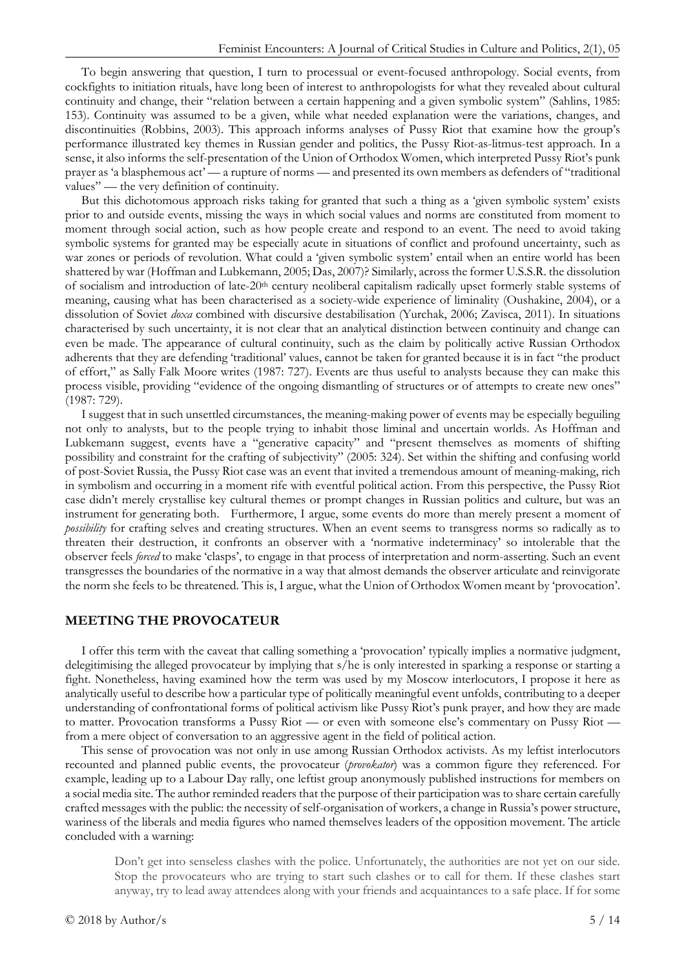To begin answering that question, I turn to processual or event-focused anthropology. Social events, from cockfights to initiation rituals, have long been of interest to anthropologists for what they revealed about cultural continuity and change, their "relation between a certain happening and a given symbolic system" (Sahlins, 1985: 153). Continuity was assumed to be a given, while what needed explanation were the variations, changes, and discontinuities (Robbins, 2003). This approach informs analyses of Pussy Riot that examine how the group's performance illustrated key themes in Russian gender and politics, the Pussy Riot-as-litmus-test approach. In a sense, it also informs the self-presentation of the Union of Orthodox Women, which interpreted Pussy Riot's punk prayer as 'a blasphemous act' — a rupture of norms — and presented its own members as defenders of "traditional values" — the very definition of continuity.

But this dichotomous approach risks taking for granted that such a thing as a 'given symbolic system' exists prior to and outside events, missing the ways in which social values and norms are constituted from moment to moment through social action, such as how people create and respond to an event. The need to avoid taking symbolic systems for granted may be especially acute in situations of conflict and profound uncertainty, such as war zones or periods of revolution. What could a 'given symbolic system' entail when an entire world has been shattered by war (Hoffman and Lubkemann, 2005; Das, 2007)? Similarly, across the former U.S.S.R. the dissolution of socialism and introduction of late-20<sup>th</sup> century neoliberal capitalism radically upset formerly stable systems of meaning, causing what has been characterised as a society-wide experience of liminality (Oushakine, 2004), or a dissolution of Soviet *doxa* combined with discursive destabilisation (Yurchak, 2006; Zavisca, 2011). In situations characterised by such uncertainty, it is not clear that an analytical distinction between continuity and change can even be made. The appearance of cultural continuity, such as the claim by politically active Russian Orthodox adherents that they are defending 'traditional' values, cannot be taken for granted because it is in fact "the product of effort," as Sally Falk Moore writes (1987: 727). Events are thus useful to analysts because they can make this process visible, providing "evidence of the ongoing dismantling of structures or of attempts to create new ones" (1987: 729).

I suggest that in such unsettled circumstances, the meaning-making power of events may be especially beguiling not only to analysts, but to the people trying to inhabit those liminal and uncertain worlds. As Hoffman and Lubkemann suggest, events have a "generative capacity" and "present themselves as moments of shifting possibility and constraint for the crafting of subjectivity" (2005: 324). Set within the shifting and confusing world of post-Soviet Russia, the Pussy Riot case was an event that invited a tremendous amount of meaning-making, rich in symbolism and occurring in a moment rife with eventful political action. From this perspective, the Pussy Riot case didn't merely crystallise key cultural themes or prompt changes in Russian politics and culture, but was an instrument for generating both. Furthermore, I argue, some events do more than merely present a moment of *possibility* for crafting selves and creating structures. When an event seems to transgress norms so radically as to threaten their destruction, it confronts an observer with a 'normative indeterminacy' so intolerable that the observer feels *forced* to make 'clasps', to engage in that process of interpretation and norm-asserting. Such an event transgresses the boundaries of the normative in a way that almost demands the observer articulate and reinvigorate the norm she feels to be threatened. This is, I argue, what the Union of Orthodox Women meant by 'provocation'.

# **MEETING THE PROVOCATEUR**

I offer this term with the caveat that calling something a 'provocation' typically implies a normative judgment, delegitimising the alleged provocateur by implying that s/he is only interested in sparking a response or starting a fight. Nonetheless, having examined how the term was used by my Moscow interlocutors, I propose it here as analytically useful to describe how a particular type of politically meaningful event unfolds, contributing to a deeper understanding of confrontational forms of political activism like Pussy Riot's punk prayer, and how they are made to matter. Provocation transforms a Pussy Riot — or even with someone else's commentary on Pussy Riot from a mere object of conversation to an aggressive agent in the field of political action.

This sense of provocation was not only in use among Russian Orthodox activists. As my leftist interlocutors recounted and planned public events, the provocateur (*provokator*) was a common figure they referenced. For example, leading up to a Labour Day rally, one leftist group anonymously published instructions for members on a social media site. The author reminded readers that the purpose of their participation was to share certain carefully crafted messages with the public: the necessity of self-organisation of workers, a change in Russia's power structure, wariness of the liberals and media figures who named themselves leaders of the opposition movement. The article concluded with a warning:

Don't get into senseless clashes with the police. Unfortunately, the authorities are not yet on our side. Stop the provocateurs who are trying to start such clashes or to call for them. If these clashes start anyway, try to lead away attendees along with your friends and acquaintances to a safe place. If for some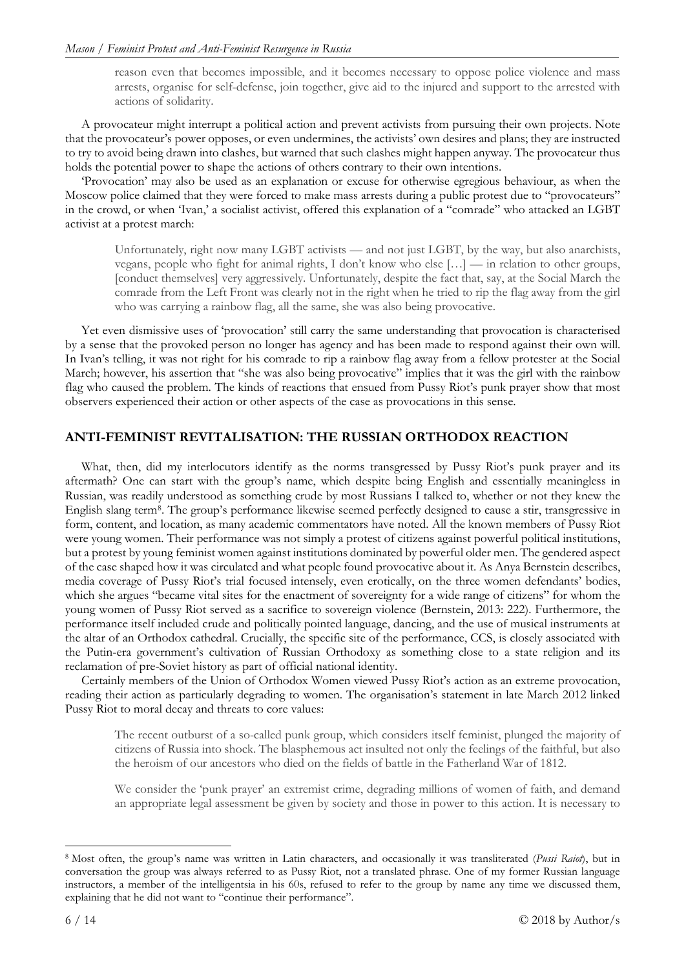reason even that becomes impossible, and it becomes necessary to oppose police violence and mass arrests, organise for self-defense, join together, give aid to the injured and support to the arrested with actions of solidarity.

A provocateur might interrupt a political action and prevent activists from pursuing their own projects. Note that the provocateur's power opposes, or even undermines, the activists' own desires and plans; they are instructed to try to avoid being drawn into clashes, but warned that such clashes might happen anyway. The provocateur thus holds the potential power to shape the actions of others contrary to their own intentions.

'Provocation' may also be used as an explanation or excuse for otherwise egregious behaviour, as when the Moscow police claimed that they were forced to make mass arrests during a public protest due to "provocateurs" in the crowd, or when 'Ivan,' a socialist activist, offered this explanation of a "comrade" who attacked an LGBT activist at a protest march:

Unfortunately, right now many LGBT activists — and not just LGBT, by the way, but also anarchists, vegans, people who fight for animal rights, I don't know who else […] — in relation to other groups, [conduct themselves] very aggressively. Unfortunately, despite the fact that, say, at the Social March the comrade from the Left Front was clearly not in the right when he tried to rip the flag away from the girl who was carrying a rainbow flag, all the same, she was also being provocative.

Yet even dismissive uses of 'provocation' still carry the same understanding that provocation is characterised by a sense that the provoked person no longer has agency and has been made to respond against their own will. In Ivan's telling, it was not right for his comrade to rip a rainbow flag away from a fellow protester at the Social March; however, his assertion that "she was also being provocative" implies that it was the girl with the rainbow flag who caused the problem. The kinds of reactions that ensued from Pussy Riot's punk prayer show that most observers experienced their action or other aspects of the case as provocations in this sense.

# **ANTI-FEMINIST REVITALISATION: THE RUSSIAN ORTHODOX REACTION**

What, then, did my interlocutors identify as the norms transgressed by Pussy Riot's punk prayer and its aftermath? One can start with the group's name, which despite being English and essentially meaningless in Russian, was readily understood as something crude by most Russians I talked to, whether or not they knew the English slang term[8](#page-5-0). The group's performance likewise seemed perfectly designed to cause a stir, transgressive in form, content, and location, as many academic commentators have noted. All the known members of Pussy Riot were young women. Their performance was not simply a protest of citizens against powerful political institutions, but a protest by young feminist women against institutions dominated by powerful older men. The gendered aspect of the case shaped how it was circulated and what people found provocative about it. As Anya Bernstein describes, media coverage of Pussy Riot's trial focused intensely, even erotically, on the three women defendants' bodies, which she argues "became vital sites for the enactment of sovereignty for a wide range of citizens" for whom the young women of Pussy Riot served as a sacrifice to sovereign violence (Bernstein, 2013: 222). Furthermore, the performance itself included crude and politically pointed language, dancing, and the use of musical instruments at the altar of an Orthodox cathedral. Crucially, the specific site of the performance, CCS, is closely associated with the Putin-era government's cultivation of Russian Orthodoxy as something close to a state religion and its reclamation of pre-Soviet history as part of official national identity.

Certainly members of the Union of Orthodox Women viewed Pussy Riot's action as an extreme provocation, reading their action as particularly degrading to women. The organisation's statement in late March 2012 linked Pussy Riot to moral decay and threats to core values:

The recent outburst of a so-called punk group, which considers itself feminist, plunged the majority of citizens of Russia into shock. The blasphemous act insulted not only the feelings of the faithful, but also the heroism of our ancestors who died on the fields of battle in the Fatherland War of 1812.

We consider the 'punk prayer' an extremist crime, degrading millions of women of faith, and demand an appropriate legal assessment be given by society and those in power to this action. It is necessary to

<span id="page-5-0"></span> <sup>8</sup> Most often, the group's name was written in Latin characters, and occasionally it was transliterated (*Pussi Raiot*), but in conversation the group was always referred to as Pussy Riot, not a translated phrase. One of my former Russian language instructors, a member of the intelligentsia in his 60s, refused to refer to the group by name any time we discussed them, explaining that he did not want to "continue their performance".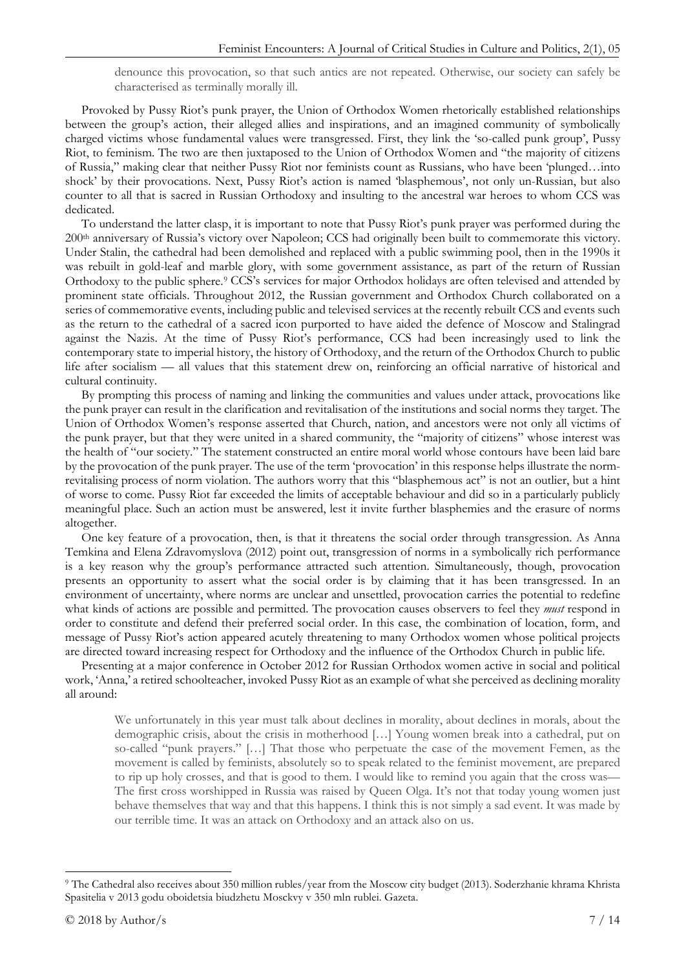denounce this provocation, so that such antics are not repeated. Otherwise, our society can safely be characterised as terminally morally ill.

Provoked by Pussy Riot's punk prayer, the Union of Orthodox Women rhetorically established relationships between the group's action, their alleged allies and inspirations, and an imagined community of symbolically charged victims whose fundamental values were transgressed. First, they link the 'so-called punk group', Pussy Riot, to feminism. The two are then juxtaposed to the Union of Orthodox Women and "the majority of citizens of Russia," making clear that neither Pussy Riot nor feminists count as Russians, who have been 'plunged…into shock' by their provocations. Next, Pussy Riot's action is named 'blasphemous', not only un-Russian, but also counter to all that is sacred in Russian Orthodoxy and insulting to the ancestral war heroes to whom CCS was dedicated.

To understand the latter clasp, it is important to note that Pussy Riot's punk prayer was performed during the 200th anniversary of Russia's victory over Napoleon; CCS had originally been built to commemorate this victory. Under Stalin, the cathedral had been demolished and replaced with a public swimming pool, then in the 1990s it was rebuilt in gold-leaf and marble glory, with some government assistance, as part of the return of Russian Orthodoxy to the public sphere.[9](#page-6-0) CCS's services for major Orthodox holidays are often televised and attended by prominent state officials. Throughout 2012, the Russian government and Orthodox Church collaborated on a series of commemorative events, including public and televised services at the recently rebuilt CCS and events such as the return to the cathedral of a sacred icon purported to have aided the defence of Moscow and Stalingrad against the Nazis. At the time of Pussy Riot's performance, CCS had been increasingly used to link the contemporary state to imperial history, the history of Orthodoxy, and the return of the Orthodox Church to public life after socialism — all values that this statement drew on, reinforcing an official narrative of historical and cultural continuity.

By prompting this process of naming and linking the communities and values under attack, provocations like the punk prayer can result in the clarification and revitalisation of the institutions and social norms they target. The Union of Orthodox Women's response asserted that Church, nation, and ancestors were not only all victims of the punk prayer, but that they were united in a shared community, the "majority of citizens" whose interest was the health of "our society." The statement constructed an entire moral world whose contours have been laid bare by the provocation of the punk prayer. The use of the term 'provocation' in this response helps illustrate the normrevitalising process of norm violation. The authors worry that this "blasphemous act" is not an outlier, but a hint of worse to come. Pussy Riot far exceeded the limits of acceptable behaviour and did so in a particularly publicly meaningful place. Such an action must be answered, lest it invite further blasphemies and the erasure of norms altogether.

One key feature of a provocation, then, is that it threatens the social order through transgression. As Anna Temkina and Elena Zdravomyslova (2012) point out, transgression of norms in a symbolically rich performance is a key reason why the group's performance attracted such attention. Simultaneously, though, provocation presents an opportunity to assert what the social order is by claiming that it has been transgressed. In an environment of uncertainty, where norms are unclear and unsettled, provocation carries the potential to redefine what kinds of actions are possible and permitted. The provocation causes observers to feel they *must* respond in order to constitute and defend their preferred social order. In this case, the combination of location, form, and message of Pussy Riot's action appeared acutely threatening to many Orthodox women whose political projects are directed toward increasing respect for Orthodoxy and the influence of the Orthodox Church in public life.

Presenting at a major conference in October 2012 for Russian Orthodox women active in social and political work, 'Anna,' a retired schoolteacher, invoked Pussy Riot as an example of what she perceived as declining morality all around:

We unfortunately in this year must talk about declines in morality, about declines in morals, about the demographic crisis, about the crisis in motherhood […] Young women break into a cathedral, put on so-called "punk prayers." […] That those who perpetuate the case of the movement Femen, as the movement is called by feminists, absolutely so to speak related to the feminist movement, are prepared to rip up holy crosses, and that is good to them. I would like to remind you again that the cross was— The first cross worshipped in Russia was raised by Queen Olga. It's not that today young women just behave themselves that way and that this happens. I think this is not simply a sad event. It was made by our terrible time. It was an attack on Orthodoxy and an attack also on us.

<span id="page-6-0"></span> <sup>9</sup> The Cathedral also receives about 350 million rubles/year from the Moscow city budget (2013). Soderzhanie khrama Khrista Spasitelia v 2013 godu oboidetsia biudzhetu Mosckvy v 350 mln rublei. Gazeta.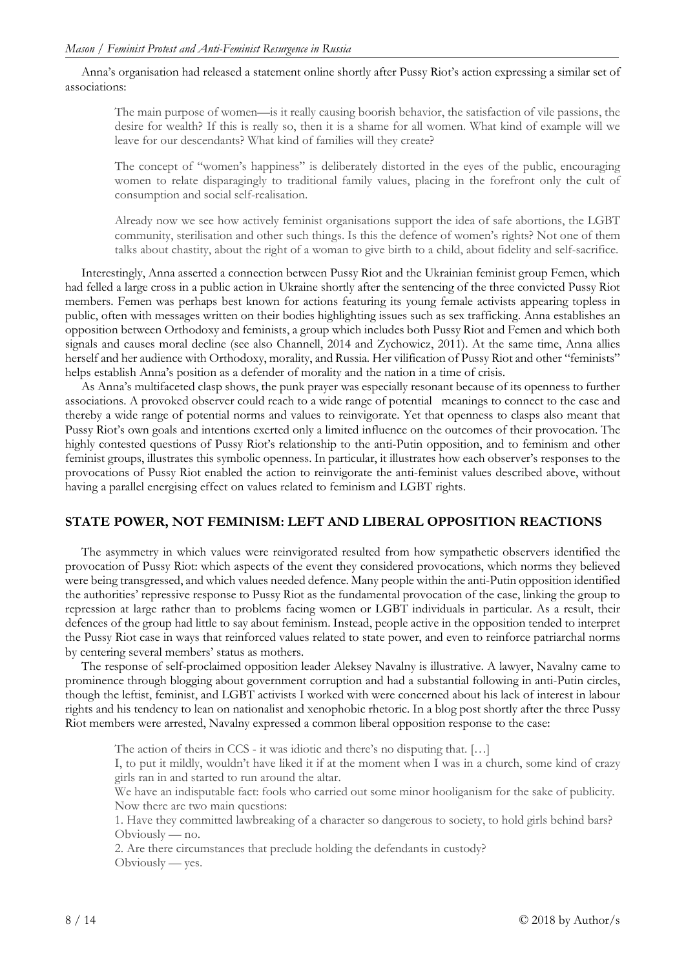Anna's organisation had released a statement online shortly after Pussy Riot's action expressing a similar set of associations:

The main purpose of women—is it really causing boorish behavior, the satisfaction of vile passions, the desire for wealth? If this is really so, then it is a shame for all women. What kind of example will we leave for our descendants? What kind of families will they create?

The concept of "women's happiness" is deliberately distorted in the eyes of the public, encouraging women to relate disparagingly to traditional family values, placing in the forefront only the cult of consumption and social self-realisation.

Already now we see how actively feminist organisations support the idea of safe abortions, the LGBT community, sterilisation and other such things. Is this the defence of women's rights? Not one of them talks about chastity, about the right of a woman to give birth to a child, about fidelity and self-sacrifice.

Interestingly, Anna asserted a connection between Pussy Riot and the Ukrainian feminist group Femen, which had felled a large cross in a public action in Ukraine shortly after the sentencing of the three convicted Pussy Riot members. Femen was perhaps best known for actions featuring its young female activists appearing topless in public, often with messages written on their bodies highlighting issues such as sex trafficking. Anna establishes an opposition between Orthodoxy and feminists, a group which includes both Pussy Riot and Femen and which both signals and causes moral decline (see also Channell, 2014 and Zychowicz, 2011). At the same time, Anna allies herself and her audience with Orthodoxy, morality, and Russia. Her vilification of Pussy Riot and other "feminists" helps establish Anna's position as a defender of morality and the nation in a time of crisis.

As Anna's multifaceted clasp shows, the punk prayer was especially resonant because of its openness to further associations. A provoked observer could reach to a wide range of potential meanings to connect to the case and thereby a wide range of potential norms and values to reinvigorate. Yet that openness to clasps also meant that Pussy Riot's own goals and intentions exerted only a limited influence on the outcomes of their provocation. The highly contested questions of Pussy Riot's relationship to the anti-Putin opposition, and to feminism and other feminist groups, illustrates this symbolic openness. In particular, it illustrates how each observer's responses to the provocations of Pussy Riot enabled the action to reinvigorate the anti-feminist values described above, without having a parallel energising effect on values related to feminism and LGBT rights.

# **STATE POWER, NOT FEMINISM: LEFT AND LIBERAL OPPOSITION REACTIONS**

The asymmetry in which values were reinvigorated resulted from how sympathetic observers identified the provocation of Pussy Riot: which aspects of the event they considered provocations, which norms they believed were being transgressed, and which values needed defence. Many people within the anti-Putin opposition identified the authorities' repressive response to Pussy Riot as the fundamental provocation of the case, linking the group to repression at large rather than to problems facing women or LGBT individuals in particular. As a result, their defences of the group had little to say about feminism. Instead, people active in the opposition tended to interpret the Pussy Riot case in ways that reinforced values related to state power, and even to reinforce patriarchal norms by centering several members' status as mothers.

The response of self-proclaimed opposition leader Aleksey Navalny is illustrative. A lawyer, Navalny came to prominence through blogging about government corruption and had a substantial following in anti-Putin circles, though the leftist, feminist, and LGBT activists I worked with were concerned about his lack of interest in labour rights and his tendency to lean on nationalist and xenophobic rhetoric. In a blog post shortly after the three Pussy Riot members were arrested, Navalny expressed a common liberal opposition response to the case:

The action of theirs in CCS - it was idiotic and there's no disputing that. […]

I, to put it mildly, wouldn't have liked it if at the moment when I was in a church, some kind of crazy girls ran in and started to run around the altar.

We have an indisputable fact: fools who carried out some minor hooliganism for the sake of publicity. Now there are two main questions:

1. Have they committed lawbreaking of a character so dangerous to society, to hold girls behind bars? Obviously — no.

2. Are there circumstances that preclude holding the defendants in custody? Obviously — yes.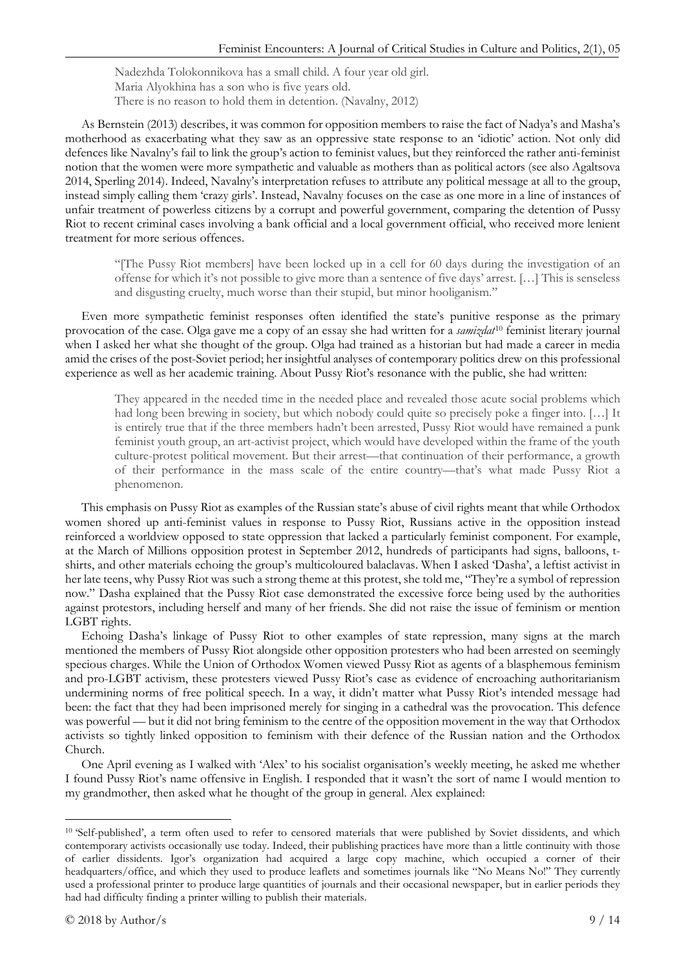Nadezhda Tolokonnikova has a small child. A four year old girl. Maria Alyokhina has a son who is five years old. There is no reason to hold them in detention. (Navalny, 2012)

As Bernstein (2013) describes, it was common for opposition members to raise the fact of Nadya's and Masha's motherhood as exacerbating what they saw as an oppressive state response to an 'idiotic' action. Not only did defences like Navalny's fail to link the group's action to feminist values, but they reinforced the rather anti-feminist notion that the women were more sympathetic and valuable as mothers than as political actors (see also Agaltsova 2014, Sperling 2014). Indeed, Navalny's interpretation refuses to attribute any political message at all to the group, instead simply calling them 'crazy girls'. Instead, Navalny focuses on the case as one more in a line of instances of unfair treatment of powerless citizens by a corrupt and powerful government, comparing the detention of Pussy Riot to recent criminal cases involving a bank official and a local government official, who received more lenient treatment for more serious offences.

"[The Pussy Riot members] have been locked up in a cell for 60 days during the investigation of an offense for which it's not possible to give more than a sentence of five days' arrest. […] This is senseless and disgusting cruelty, much worse than their stupid, but minor hooliganism."

Even more sympathetic feminist responses often identified the state's punitive response as the primary provocation of the case. Olga gave me a copy of an essay she had written for a *samizdat*[10](#page-8-0) feminist literary journal when I asked her what she thought of the group. Olga had trained as a historian but had made a career in media amid the crises of the post-Soviet period; her insightful analyses of contemporary politics drew on this professional experience as well as her academic training. About Pussy Riot's resonance with the public, she had written:

They appeared in the needed time in the needed place and revealed those acute social problems which had long been brewing in society, but which nobody could quite so precisely poke a finger into. […] It is entirely true that if the three members hadn't been arrested, Pussy Riot would have remained a punk feminist youth group, an art-activist project, which would have developed within the frame of the youth culture-protest political movement. But their arrest—that continuation of their performance, a growth of their performance in the mass scale of the entire country—that's what made Pussy Riot a phenomenon.

This emphasis on Pussy Riot as examples of the Russian state's abuse of civil rights meant that while Orthodox women shored up anti-feminist values in response to Pussy Riot, Russians active in the opposition instead reinforced a worldview opposed to state oppression that lacked a particularly feminist component. For example, at the March of Millions opposition protest in September 2012, hundreds of participants had signs, balloons, tshirts, and other materials echoing the group's multicoloured balaclavas. When I asked 'Dasha', a leftist activist in her late teens, why Pussy Riot was such a strong theme at this protest, she told me, "They're a symbol of repression now." Dasha explained that the Pussy Riot case demonstrated the excessive force being used by the authorities against protestors, including herself and many of her friends. She did not raise the issue of feminism or mention LGBT rights.

Echoing Dasha's linkage of Pussy Riot to other examples of state repression, many signs at the march mentioned the members of Pussy Riot alongside other opposition protesters who had been arrested on seemingly specious charges. While the Union of Orthodox Women viewed Pussy Riot as agents of a blasphemous feminism and pro-LGBT activism, these protesters viewed Pussy Riot's case as evidence of encroaching authoritarianism undermining norms of free political speech. In a way, it didn't matter what Pussy Riot's intended message had been: the fact that they had been imprisoned merely for singing in a cathedral was the provocation. This defence was powerful — but it did not bring feminism to the centre of the opposition movement in the way that Orthodox activists so tightly linked opposition to feminism with their defence of the Russian nation and the Orthodox Church.

One April evening as I walked with 'Alex' to his socialist organisation's weekly meeting, he asked me whether I found Pussy Riot's name offensive in English. I responded that it wasn't the sort of name I would mention to my grandmother, then asked what he thought of the group in general. Alex explained:

<span id="page-8-0"></span><sup>&</sup>lt;sup>10</sup> 'Self-published', a term often used to refer to censored materials that were published by Soviet dissidents, and which contemporary activists occasionally use today. Indeed, their publishing practices have more than a little continuity with those of earlier dissidents. Igor's organization had acquired a large copy machine, which occupied a corner of their headquarters/office, and which they used to produce leaflets and sometimes journals like "No Means No!" They currently used a professional printer to produce large quantities of journals and their occasional newspaper, but in earlier periods they had had difficulty finding a printer willing to publish their materials.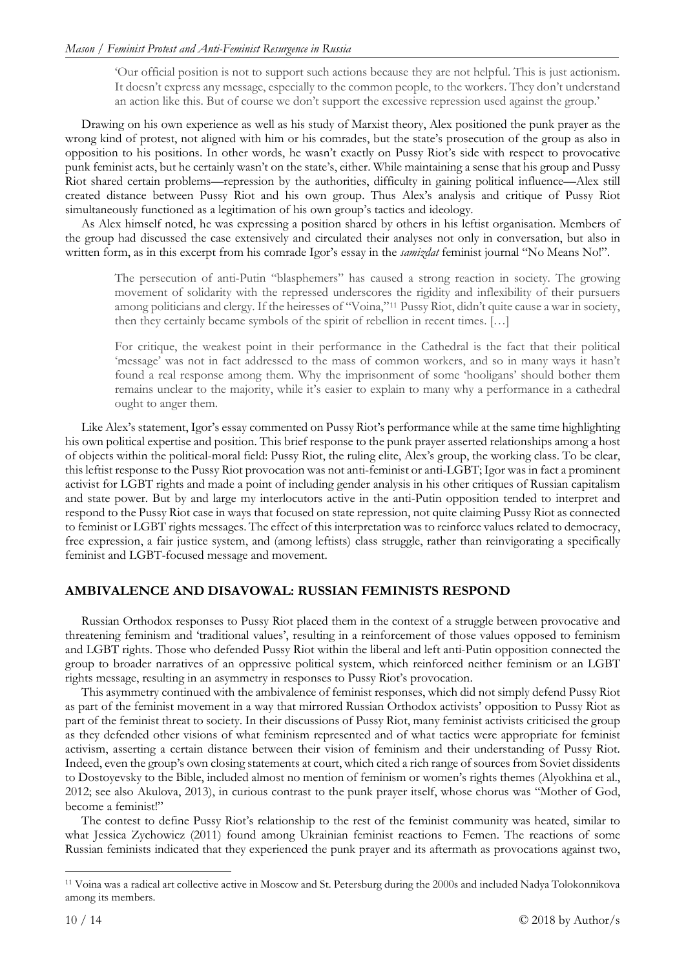'Our official position is not to support such actions because they are not helpful. This is just actionism. It doesn't express any message, especially to the common people, to the workers. They don't understand an action like this. But of course we don't support the excessive repression used against the group.'

Drawing on his own experience as well as his study of Marxist theory, Alex positioned the punk prayer as the wrong kind of protest, not aligned with him or his comrades, but the state's prosecution of the group as also in opposition to his positions. In other words, he wasn't exactly on Pussy Riot's side with respect to provocative punk feminist acts, but he certainly wasn't on the state's, either. While maintaining a sense that his group and Pussy Riot shared certain problems—repression by the authorities, difficulty in gaining political influence—Alex still created distance between Pussy Riot and his own group. Thus Alex's analysis and critique of Pussy Riot simultaneously functioned as a legitimation of his own group's tactics and ideology.

As Alex himself noted, he was expressing a position shared by others in his leftist organisation. Members of the group had discussed the case extensively and circulated their analyses not only in conversation, but also in written form, as in this excerpt from his comrade Igor's essay in the *samizdat* feminist journal "No Means No!".

The persecution of anti-Putin "blasphemers" has caused a strong reaction in society. The growing movement of solidarity with the repressed underscores the rigidity and inflexibility of their pursuers among politicians and clergy. If the heiresses of "Voina,"[11](#page-9-0) Pussy Riot, didn't quite cause a war in society, then they certainly became symbols of the spirit of rebellion in recent times. […]

For critique, the weakest point in their performance in the Cathedral is the fact that their political 'message' was not in fact addressed to the mass of common workers, and so in many ways it hasn't found a real response among them. Why the imprisonment of some 'hooligans' should bother them remains unclear to the majority, while it's easier to explain to many why a performance in a cathedral ought to anger them.

Like Alex's statement, Igor's essay commented on Pussy Riot's performance while at the same time highlighting his own political expertise and position. This brief response to the punk prayer asserted relationships among a host of objects within the political-moral field: Pussy Riot, the ruling elite, Alex's group, the working class. To be clear, this leftist response to the Pussy Riot provocation was not anti-feminist or anti-LGBT; Igor was in fact a prominent activist for LGBT rights and made a point of including gender analysis in his other critiques of Russian capitalism and state power. But by and large my interlocutors active in the anti-Putin opposition tended to interpret and respond to the Pussy Riot case in ways that focused on state repression, not quite claiming Pussy Riot as connected to feminist or LGBT rights messages. The effect of this interpretation was to reinforce values related to democracy, free expression, a fair justice system, and (among leftists) class struggle, rather than reinvigorating a specifically feminist and LGBT-focused message and movement.

# **AMBIVALENCE AND DISAVOWAL: RUSSIAN FEMINISTS RESPOND**

Russian Orthodox responses to Pussy Riot placed them in the context of a struggle between provocative and threatening feminism and 'traditional values', resulting in a reinforcement of those values opposed to feminism and LGBT rights. Those who defended Pussy Riot within the liberal and left anti-Putin opposition connected the group to broader narratives of an oppressive political system, which reinforced neither feminism or an LGBT rights message, resulting in an asymmetry in responses to Pussy Riot's provocation.

This asymmetry continued with the ambivalence of feminist responses, which did not simply defend Pussy Riot as part of the feminist movement in a way that mirrored Russian Orthodox activists' opposition to Pussy Riot as part of the feminist threat to society. In their discussions of Pussy Riot, many feminist activists criticised the group as they defended other visions of what feminism represented and of what tactics were appropriate for feminist activism, asserting a certain distance between their vision of feminism and their understanding of Pussy Riot. Indeed, even the group's own closing statements at court, which cited a rich range of sources from Soviet dissidents to Dostoyevsky to the Bible, included almost no mention of feminism or women's rights themes (Alyokhina et al., 2012; see also Akulova, 2013), in curious contrast to the punk prayer itself, whose chorus was "Mother of God, become a feminist!"

The contest to define Pussy Riot's relationship to the rest of the feminist community was heated, similar to what Jessica Zychowicz (2011) found among Ukrainian feminist reactions to Femen. The reactions of some Russian feminists indicated that they experienced the punk prayer and its aftermath as provocations against two,

<span id="page-9-0"></span> <sup>11</sup> Voina was a radical art collective active in Moscow and St. Petersburg during the 2000s and included Nadya Tolokonnikova among its members.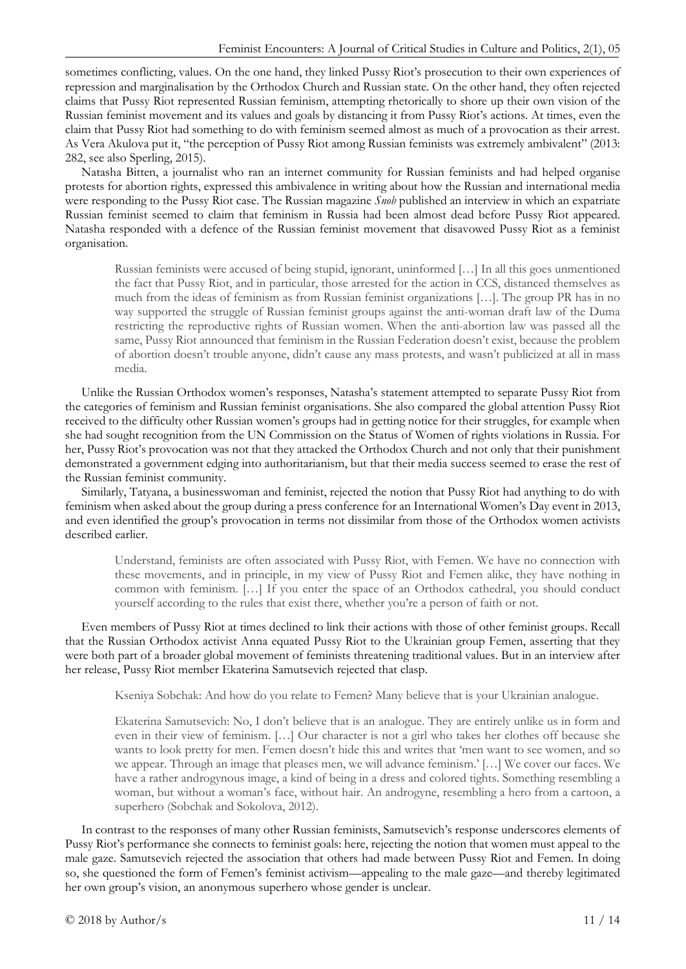sometimes conflicting, values. On the one hand, they linked Pussy Riot's prosecution to their own experiences of repression and marginalisation by the Orthodox Church and Russian state. On the other hand, they often rejected claims that Pussy Riot represented Russian feminism, attempting rhetorically to shore up their own vision of the Russian feminist movement and its values and goals by distancing it from Pussy Riot's actions. At times, even the claim that Pussy Riot had something to do with feminism seemed almost as much of a provocation as their arrest. As Vera Akulova put it, "the perception of Pussy Riot among Russian feminists was extremely ambivalent" (2013: 282, see also Sperling, 2015).

Natasha Bitten, a journalist who ran an internet community for Russian feminists and had helped organise protests for abortion rights, expressed this ambivalence in writing about how the Russian and international media were responding to the Pussy Riot case. The Russian magazine *Snob* published an interview in which an expatriate Russian feminist seemed to claim that feminism in Russia had been almost dead before Pussy Riot appeared. Natasha responded with a defence of the Russian feminist movement that disavowed Pussy Riot as a feminist organisation.

Russian feminists were accused of being stupid, ignorant, uninformed […] In all this goes unmentioned the fact that Pussy Riot, and in particular, those arrested for the action in CCS, distanced themselves as much from the ideas of feminism as from Russian feminist organizations […]. The group PR has in no way supported the struggle of Russian feminist groups against the anti-woman draft law of the Duma restricting the reproductive rights of Russian women. When the anti-abortion law was passed all the same, Pussy Riot announced that feminism in the Russian Federation doesn't exist, because the problem of abortion doesn't trouble anyone, didn't cause any mass protests, and wasn't publicized at all in mass media.

Unlike the Russian Orthodox women's responses, Natasha's statement attempted to separate Pussy Riot from the categories of feminism and Russian feminist organisations. She also compared the global attention Pussy Riot received to the difficulty other Russian women's groups had in getting notice for their struggles, for example when she had sought recognition from the UN Commission on the Status of Women of rights violations in Russia. For her, Pussy Riot's provocation was not that they attacked the Orthodox Church and not only that their punishment demonstrated a government edging into authoritarianism, but that their media success seemed to erase the rest of the Russian feminist community.

Similarly, Tatyana, a businesswoman and feminist, rejected the notion that Pussy Riot had anything to do with feminism when asked about the group during a press conference for an International Women's Day event in 2013, and even identified the group's provocation in terms not dissimilar from those of the Orthodox women activists described earlier.

Understand, feminists are often associated with Pussy Riot, with Femen. We have no connection with these movements, and in principle, in my view of Pussy Riot and Femen alike, they have nothing in common with feminism. […] If you enter the space of an Orthodox cathedral, you should conduct yourself according to the rules that exist there, whether you're a person of faith or not.

Even members of Pussy Riot at times declined to link their actions with those of other feminist groups. Recall that the Russian Orthodox activist Anna equated Pussy Riot to the Ukrainian group Femen, asserting that they were both part of a broader global movement of feminists threatening traditional values. But in an interview after her release, Pussy Riot member Ekaterina Samutsevich rejected that clasp.

Kseniya Sobchak: And how do you relate to Femen? Many believe that is your Ukrainian analogue.

Ekaterina Samutsevich: No, I don't believe that is an analogue. They are entirely unlike us in form and even in their view of feminism. […] Our character is not a girl who takes her clothes off because she wants to look pretty for men. Femen doesn't hide this and writes that 'men want to see women, and so we appear. Through an image that pleases men, we will advance feminism.' […] We cover our faces. We have a rather androgynous image, a kind of being in a dress and colored tights. Something resembling a woman, but without a woman's face, without hair. An androgyne, resembling a hero from a cartoon, a superhero (Sobchak and Sokolova, 2012).

In contrast to the responses of many other Russian feminists, Samutsevich's response underscores elements of Pussy Riot's performance she connects to feminist goals: here, rejecting the notion that women must appeal to the male gaze. Samutsevich rejected the association that others had made between Pussy Riot and Femen. In doing so, she questioned the form of Femen's feminist activism—appealing to the male gaze—and thereby legitimated her own group's vision, an anonymous superhero whose gender is unclear.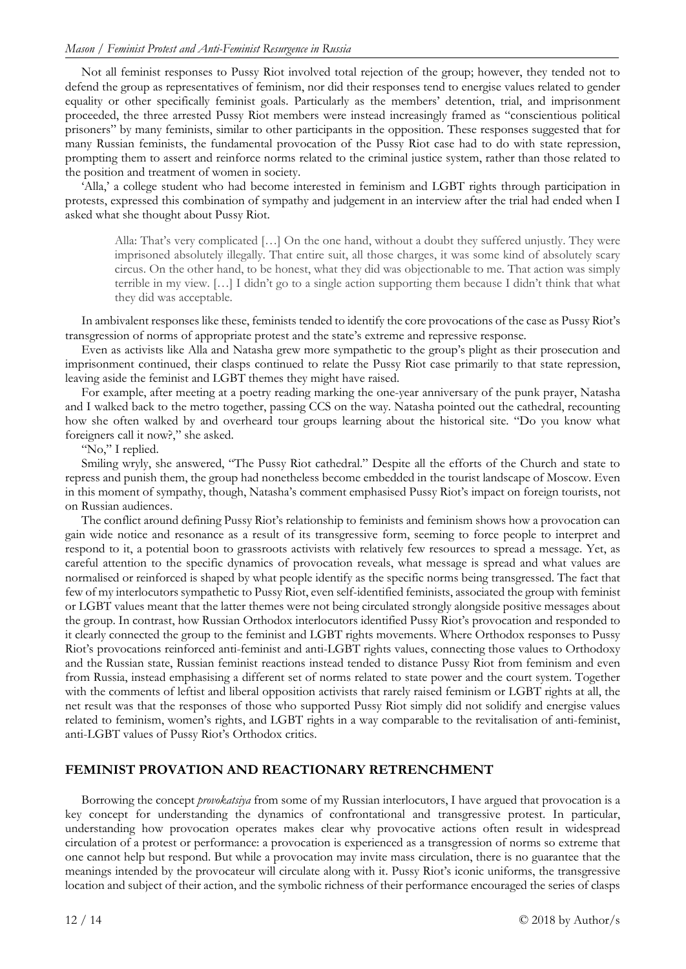Not all feminist responses to Pussy Riot involved total rejection of the group; however, they tended not to defend the group as representatives of feminism, nor did their responses tend to energise values related to gender equality or other specifically feminist goals. Particularly as the members' detention, trial, and imprisonment proceeded, the three arrested Pussy Riot members were instead increasingly framed as "conscientious political prisoners" by many feminists, similar to other participants in the opposition. These responses suggested that for many Russian feminists, the fundamental provocation of the Pussy Riot case had to do with state repression, prompting them to assert and reinforce norms related to the criminal justice system, rather than those related to the position and treatment of women in society.

'Alla,' a college student who had become interested in feminism and LGBT rights through participation in protests, expressed this combination of sympathy and judgement in an interview after the trial had ended when I asked what she thought about Pussy Riot.

Alla: That's very complicated […] On the one hand, without a doubt they suffered unjustly. They were imprisoned absolutely illegally. That entire suit, all those charges, it was some kind of absolutely scary circus. On the other hand, to be honest, what they did was objectionable to me. That action was simply terrible in my view. […] I didn't go to a single action supporting them because I didn't think that what they did was acceptable.

In ambivalent responses like these, feminists tended to identify the core provocations of the case as Pussy Riot's transgression of norms of appropriate protest and the state's extreme and repressive response.

Even as activists like Alla and Natasha grew more sympathetic to the group's plight as their prosecution and imprisonment continued, their clasps continued to relate the Pussy Riot case primarily to that state repression, leaving aside the feminist and LGBT themes they might have raised.

For example, after meeting at a poetry reading marking the one-year anniversary of the punk prayer, Natasha and I walked back to the metro together, passing CCS on the way. Natasha pointed out the cathedral, recounting how she often walked by and overheard tour groups learning about the historical site. "Do you know what foreigners call it now?," she asked.

#### "No," I replied.

Smiling wryly, she answered, "The Pussy Riot cathedral." Despite all the efforts of the Church and state to repress and punish them, the group had nonetheless become embedded in the tourist landscape of Moscow. Even in this moment of sympathy, though, Natasha's comment emphasised Pussy Riot's impact on foreign tourists, not on Russian audiences.

The conflict around defining Pussy Riot's relationship to feminists and feminism shows how a provocation can gain wide notice and resonance as a result of its transgressive form, seeming to force people to interpret and respond to it, a potential boon to grassroots activists with relatively few resources to spread a message. Yet, as careful attention to the specific dynamics of provocation reveals, what message is spread and what values are normalised or reinforced is shaped by what people identify as the specific norms being transgressed. The fact that few of my interlocutors sympathetic to Pussy Riot, even self-identified feminists, associated the group with feminist or LGBT values meant that the latter themes were not being circulated strongly alongside positive messages about the group. In contrast, how Russian Orthodox interlocutors identified Pussy Riot's provocation and responded to it clearly connected the group to the feminist and LGBT rights movements. Where Orthodox responses to Pussy Riot's provocations reinforced anti-feminist and anti-LGBT rights values, connecting those values to Orthodoxy and the Russian state, Russian feminist reactions instead tended to distance Pussy Riot from feminism and even from Russia, instead emphasising a different set of norms related to state power and the court system. Together with the comments of leftist and liberal opposition activists that rarely raised feminism or LGBT rights at all, the net result was that the responses of those who supported Pussy Riot simply did not solidify and energise values related to feminism, women's rights, and LGBT rights in a way comparable to the revitalisation of anti-feminist, anti-LGBT values of Pussy Riot's Orthodox critics.

#### **FEMINIST PROVATION AND REACTIONARY RETRENCHMENT**

Borrowing the concept *provokatsiya* from some of my Russian interlocutors, I have argued that provocation is a key concept for understanding the dynamics of confrontational and transgressive protest. In particular, understanding how provocation operates makes clear why provocative actions often result in widespread circulation of a protest or performance: a provocation is experienced as a transgression of norms so extreme that one cannot help but respond. But while a provocation may invite mass circulation, there is no guarantee that the meanings intended by the provocateur will circulate along with it. Pussy Riot's iconic uniforms, the transgressive location and subject of their action, and the symbolic richness of their performance encouraged the series of clasps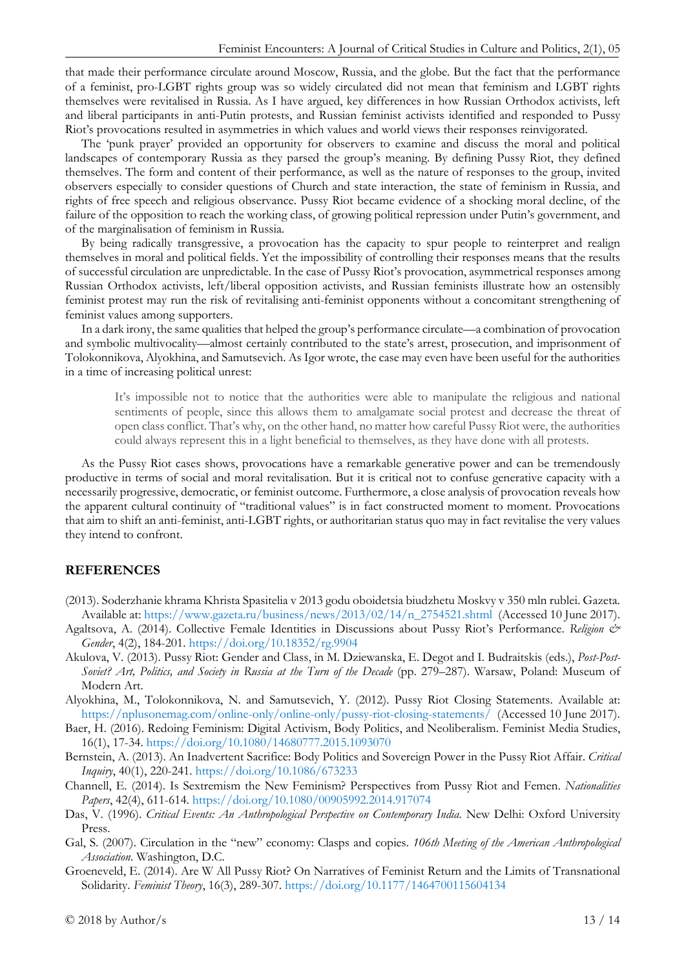that made their performance circulate around Moscow, Russia, and the globe. But the fact that the performance of a feminist, pro-LGBT rights group was so widely circulated did not mean that feminism and LGBT rights themselves were revitalised in Russia. As I have argued, key differences in how Russian Orthodox activists, left and liberal participants in anti-Putin protests, and Russian feminist activists identified and responded to Pussy Riot's provocations resulted in asymmetries in which values and world views their responses reinvigorated.

The 'punk prayer' provided an opportunity for observers to examine and discuss the moral and political landscapes of contemporary Russia as they parsed the group's meaning. By defining Pussy Riot, they defined themselves. The form and content of their performance, as well as the nature of responses to the group, invited observers especially to consider questions of Church and state interaction, the state of feminism in Russia, and rights of free speech and religious observance. Pussy Riot became evidence of a shocking moral decline, of the failure of the opposition to reach the working class, of growing political repression under Putin's government, and of the marginalisation of feminism in Russia.

By being radically transgressive, a provocation has the capacity to spur people to reinterpret and realign themselves in moral and political fields. Yet the impossibility of controlling their responses means that the results of successful circulation are unpredictable. In the case of Pussy Riot's provocation, asymmetrical responses among Russian Orthodox activists, left/liberal opposition activists, and Russian feminists illustrate how an ostensibly feminist protest may run the risk of revitalising anti-feminist opponents without a concomitant strengthening of feminist values among supporters.

In a dark irony, the same qualities that helped the group's performance circulate—a combination of provocation and symbolic multivocality—almost certainly contributed to the state's arrest, prosecution, and imprisonment of Tolokonnikova, Alyokhina, and Samutsevich. As Igor wrote, the case may even have been useful for the authorities in a time of increasing political unrest:

It's impossible not to notice that the authorities were able to manipulate the religious and national sentiments of people, since this allows them to amalgamate social protest and decrease the threat of open class conflict. That's why, on the other hand, no matter how careful Pussy Riot were, the authorities could always represent this in a light beneficial to themselves, as they have done with all protests.

As the Pussy Riot cases shows, provocations have a remarkable generative power and can be tremendously productive in terms of social and moral revitalisation. But it is critical not to confuse generative capacity with a necessarily progressive, democratic, or feminist outcome. Furthermore, a close analysis of provocation reveals how the apparent cultural continuity of "traditional values" is in fact constructed moment to moment. Provocations that aim to shift an anti-feminist, anti-LGBT rights, or authoritarian status quo may in fact revitalise the very values they intend to confront.

## **REFERENCES**

- (2013). Soderzhanie khrama Khrista Spasitelia v 2013 godu oboidetsia biudzhetu Moskvy v 350 mln rublei. Gazeta. Available at: [https://www.gazeta.ru/business/news/2013/02/14/n\\_2754521.shtml](https://www.gazeta.ru/business/news/2013/02/14/n_2754521.shtml) (Accessed 10 June 2017).
- Agaltsova, A. (2014). Collective Female Identities in Discussions about Pussy Riot's Performance. *Religion & Gender*, 4(2), 184-201. <https://doi.org/10.18352/rg.9904>
- Akulova, V. (2013). Pussy Riot: Gender and Class, in M. Dziewanska, E. Degot and I. Budraitskis (eds.), *Post-Post-Soviet? Art, Politics, and Society in Russia at the Turn of the Decade* (pp. 279–287). Warsaw, Poland: Museum of Modern Art.
- Alyokhina, M., Tolokonnikova, N. and Samutsevich, Y. (2012). Pussy Riot Closing Statements. Available at: <https://nplusonemag.com/online-only/online-only/pussy-riot-closing-statements/> (Accessed 10 June 2017).
- Baer, H. (2016). Redoing Feminism: Digital Activism, Body Politics, and Neoliberalism. Feminist Media Studies, 16(1), 17-34. <https://doi.org/10.1080/14680777.2015.1093070>
- Bernstein, A. (2013). An Inadvertent Sacrifice: Body Politics and Sovereign Power in the Pussy Riot Affair. *Critical Inquiry*, 40(1), 220-241. <https://doi.org/10.1086/673233>
- Channell, E. (2014). Is Sextremism the New Feminism? Perspectives from Pussy Riot and Femen. *Nationalities Papers*, 42(4), 611-614. <https://doi.org/10.1080/00905992.2014.917074>
- Das, V. (1996). *Critical Events: An Anthropological Perspective on Contemporary India*. New Delhi: Oxford University Press.
- Gal, S. (2007). Circulation in the "new" economy: Clasps and copies. *106th Meeting of the American Anthropological Association*. Washington, D.C.
- Groeneveld, E. (2014). Are W All Pussy Riot? On Narratives of Feminist Return and the Limits of Transnational Solidarity. *Feminist Theory*, 16(3), 289-307. <https://doi.org/10.1177/1464700115604134>